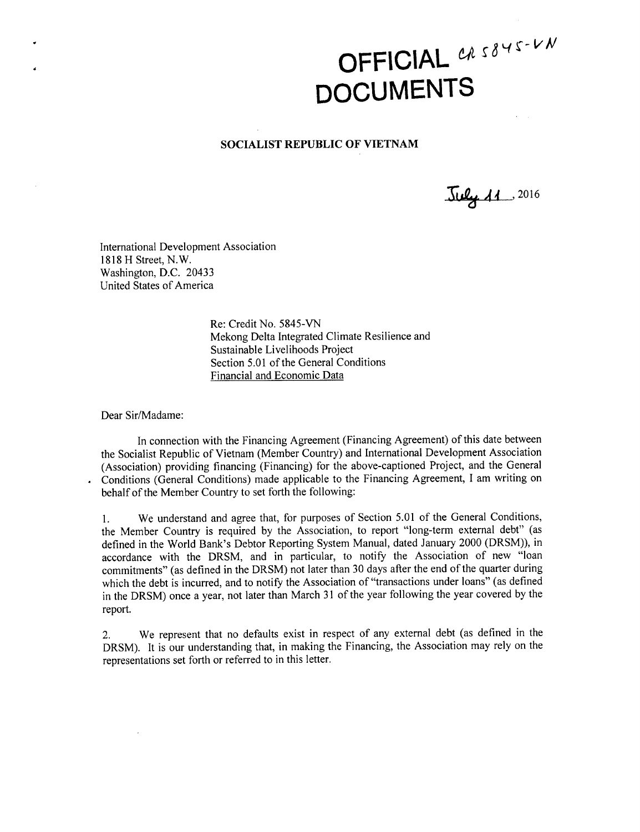## OFFICIAL CAS845-VN **DOCUMENTS**

## **SOCIALIST REPUBLIC OF VIETNAM**

**S4L** , **<sup>2016</sup>**

International Development Association **1818** H Street, N.W. Washington, **D.C.** 20433 United States of America

> Re: Credit No. **5845-VN** Mekong Delta Integrated Climate Resilience and Sustainable Livelihoods Project Section **5.01** of the General Conditions Financial and Economic Data

Dear Sir/Madame:

In connection with the Financing Agreement (Financing Agreement) of this date between the Socialist Republic of Vietnam (Member Country) and International Development Association (Association) providing financing (Financing) for the above-captioned Project, and the General Conditions (General Conditions) made applicable to the Financing Agreement, **I** am writing on behalf of the Member Country to set forth the following:

**1.** We understand and agree that, for purposes of Section **5.01** of the General Conditions, the Member Country is required **by** the Association, to report "long-term external debt" (as defined in the World Bank's Debtor Reporting System Manual, dated January 2000 (DRSM)), in accordance with the DRSM, and in particular, to notify the Association of new "loan commitments" (as defined in the DRSM) not later than **30** days after the end of the quarter during which the debt is incurred, and to notify the Association of "transactions under loans" (as defined in the DRSM) once a year, not later than March **31** of the year following the year covered **by** the report.

2. We represent that no defaults exist in respect of any external debt (as defined in the DRSM). It is our understanding that, in making the Financing, the Association may rely on the representations set forth or referred to in this letter.